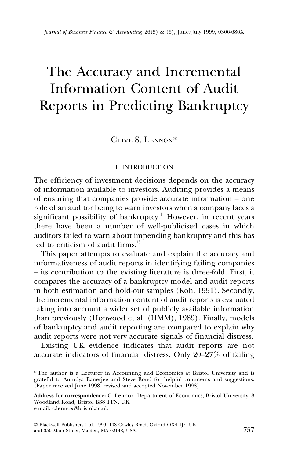# The Accuracy and Incremental Information Content of Audit Reports in Predicting Bankruptcy

Clive S. Lennox\*

### 1. INTRODUCTION

The efficiency of investment decisions depends on the accuracy of information available to investors. Auditing provides a means of ensuring that companies provide accurate information – one role of an auditor being to warn investors when a company faces a significant possibility of bankruptcy.<sup>1</sup> However, in recent years there have been a number of well-publicised cases in which auditors failed to warn about impending bankruptcy and this has led to criticism of audit firms<sup>2</sup>

This paper attempts to evaluate and explain the accuracy and informativeness of audit reports in identifying failing companies ± its contribution to the existing literature is three-fold. First, it compares the accuracy of a bankruptcy model and audit reports in both estimation and hold-out samples (Koh, 1991). Secondly, the incremental information content of audit reports is evaluated taking into account a wider set of publicly available information than previously (Hopwood et al. (HMM), 1989). Finally, models of bankruptcy and audit reporting are compared to explain why audit reports were not very accurate signals of financial distress.

Existing UK evidence indicates that audit reports are not accurate indicators of financial distress. Only  $20-27\%$  of failing

<sup>\*</sup> The author is a Lecturer in Accounting and Economics at Bristol University and is grateful to Anindya Banerjee and Steve Bond for helpful comments and suggestions. (Paper received June 1998, revised and accepted November 1998)

Address for correspondence: C. Lennox, Department of Economics, Bristol University, 8 Woodland Road, Bristol BS8 1TN, UK. e-mail: c.lennox@bristol.ac.uk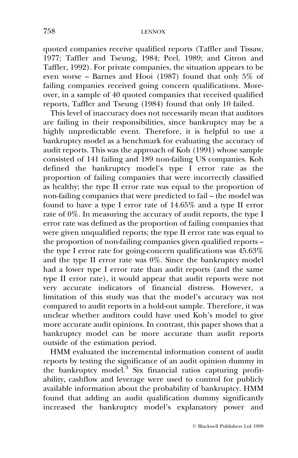quoted companies receive qualified reports (Taffler and Tissaw, 1977; Taffler and Tseung, 1984; Peel, 1989; and Citron and Taffler, 1992). For private companies, the situation appears to be even worse  $-$  Barnes and Hooi (1987) found that only 5% of failing companies received going concern qualifications. Moreover, in a sample of 40 quoted companies that received qualified reports, Taffler and Tseung (1984) found that only 10 failed.

This level of inaccuracy does not necessarily mean that auditors are failing in their responsibilities, since bankruptcy may be a highly unpredictable event. Therefore, it is helpful to use a bankruptcy model as a benchmark for evaluating the accuracy of audit reports. This was the approach of Koh (1991) whose sample consisted of 141 failing and 189 non-failing US companies. Koh defined the bankruptcy model's type I error rate as the proportion of failing companies that were incorrectly classified as healthy; the type II error rate was equal to the proportion of non-failing companies that were predicted to fail – the model was found to have a type I error rate of 14.65% and a type II error rate of 0%. In measuring the accuracy of audit reports, the type I error rate was defined as the proportion of failing companies that were given unqualified reports; the type II error rate was equal to the proportion of non-failing companies given qualified reports  $-\frac{1}{2}$ the type I error rate for going-concern qualifications was 45.63% and the type II error rate was 0%. Since the bankruptcy model had a lower type I error rate than audit reports (and the same type II error rate), it would appear that audit reports were not very accurate indicators of financial distress. However, a limitation of this study was that the model's accuracy was not compared to audit reports in a hold-out sample. Therefore, it was unclear whether auditors could have used Koh's model to give more accurate audit opinions. In contrast, this paper shows that a bankruptcy model can be more accurate than audit reports outside of the estimation period.

HMM evaluated the incremental information content of audit reports by testing the significance of an audit opinion dummy in the bankruptcy model.3 Six financial ratios capturing profitability, cashflow and leverage were used to control for publicly available information about the probability of bankruptcy. HMM found that adding an audit qualification dummy significantly increased the bankruptcy model's explanatory power and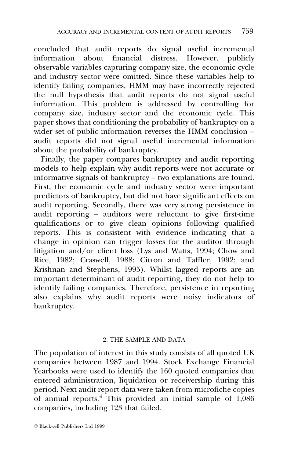concluded that audit reports do signal useful incremental information about financial distress. However, publicly observable variables capturing company size, the economic cycle and industry sector were omitted. Since these variables help to identify failing companies, HMM may have incorrectly rejected the null hypothesis that audit reports do not signal useful information. This problem is addressed by controlling for company size, industry sector and the economic cycle. This paper shows that conditioning the probability of bankruptcy on a wider set of public information reverses the HMM conclusion  $$ audit reports did not signal useful incremental information about the probability of bankruptcy.

Finally, the paper compares bankruptcy and audit reporting models to help explain why audit reports were not accurate or informative signals of bankruptcy  $-\frac{1}{2}$  two explanations are found. First, the economic cycle and industry sector were important predictors of bankruptcy, but did not have significant effects on audit reporting. Secondly, there was very strong persistence in audit reporting  $-$  auditors were reluctant to give first-time qualifications or to give clean opinions following qualified reports. This is consistent with evidence indicating that a change in opinion can trigger losses for the auditor through litigation and/or client loss (Lys and Watts, 1994; Chow and Rice, 1982; Craswell, 1988; Citron and Taffler, 1992; and Krishnan and Stephens, 1995). Whilst lagged reports are an important determinant of audit reporting, they do not help to identify failing companies. Therefore, persistence in reporting also explains why audit reports were noisy indicators of bankruptcy.

# 2. THE SAMPLE AND DATA

The population of interest in this study consists of all quoted UK companies between 1987 and 1994. Stock Exchange Financial Yearbooks were used to identify the 160 quoted companies that entered administration, liquidation or receivership during this period. Next audit report data were taken from microfiche copies of annual reports.<sup>4</sup> This provided an initial sample of  $1,086$ companies, including 123 that failed.

ß Blackwell Publishers Ltd 1999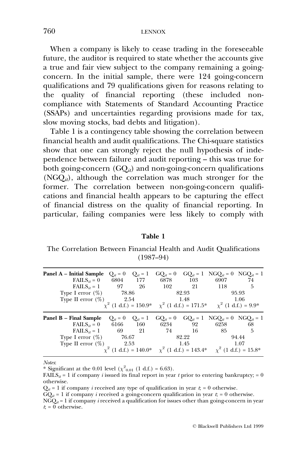When a company is likely to cease trading in the foreseeable future, the auditor is required to state whether the accounts give a true and fair view subject to the company remaining a goingconcern. In the initial sample, there were 124 going-concern qualifications and 79 qualifications given for reasons relating to the quality of financial reporting (these included noncompliance with Statements of Standard Accounting Practice (SSAPs) and uncertainties regarding provisions made for tax, slow moving stocks, bad debts and litigation).

Table 1 is a contingency table showing the correlation between financial health and audit qualifications. The Chi-square statistics show that one can strongly reject the null hypothesis of independence between failure and audit reporting – this was true for both going-concern  $(GQ_{it})$  and non-going-concern qualifications  $(NGQ_{ii})$ , although the correlation was much stronger for the former. The correlation between non-going-concern qualifications and financial health appears to be capturing the effect of financial distress on the quality of financial reporting. In particular, failing companies were less likely to comply with

## Table 1

The Correlation Between Financial Health and Audit Qualifications  $(1987-94)$ 

| Panel A – Initial Sample         | $Q_{it} = 0$ | $Q_{it} = 1$ |                                                       | $GQ_{it} = 0$ $GQ_{it} = 1$ |      | $NGO_{it} = 0$ $NGO_{it} = 1$ |
|----------------------------------|--------------|--------------|-------------------------------------------------------|-----------------------------|------|-------------------------------|
| FAILS <sub>it</sub> = 0 6804 177 |              |              | 6878                                                  | 103                         | 6907 | 74                            |
| $\text{FAILS}_{it} = 1$          | - 97         | 26           | 102                                                   | 21                          | 118  | 5                             |
| Type I error $(\%)$              | 78.86        |              |                                                       | 82.93                       |      | 95.93                         |
| Type II error $(\%)$             | 2.54         |              |                                                       | 1.48                        |      | 1.06                          |
|                                  |              |              | $\chi^2$ (1 d.f.) = 150.9* $\chi^2$ (1 d.f.) = 171.5* |                             |      | $\chi^2$ (1 d.f.) = 9.9*      |
|                                  |              |              |                                                       |                             |      |                               |
| Panel B – Final Sample           | $Q_{it} = 0$ | $Q_{it} = 1$ | $GQ_{it} = 0$                                         | $GO_{it} = 1$               |      | $NGO_{it} = 0$ $NGO_{it} = 1$ |
| FAILS <sub>it</sub> = 0 6166 160 |              |              | 6234                                                  | 92                          | 6258 | 68                            |
| $\text{FAILS}_{it} = 1$          | -69          | 21           | 74                                                    | -16                         | 85   | 5                             |
| Type I error $(\%)$              | 76.67        |              |                                                       | 82.22                       |      | 94.44                         |
| Type II error $(\%)$             | 2.53         |              |                                                       | 1.45                        |      | 1.07                          |

Notes:

\* Significant at the 0.01 level ( $\chi^2_{0.01}$  (1 d.f.) = 6.63).

FAILS<sub>it</sub> = 1 if company *i* issued its final report in year t prior to entering bankruptcy; = 0 otherwise.

 $Q_{it} = 1$  if company *i* received any type of qualification in year  $t = 0$  otherwise.

 $GQ_{it} = 1$  if company *i* received a going-concern qualification in year  $t_i = 0$  otherwise.

 $NGQ_{it} = 1$  if company *i* received a qualification for issues other than going-concern in year  $t = 0$  otherwise.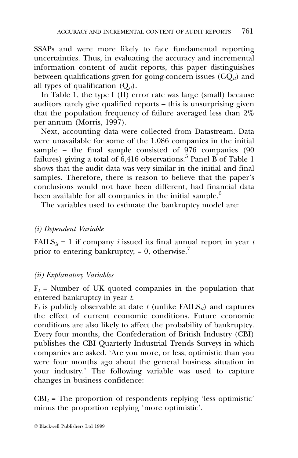SSAPs and were more likely to face fundamental reporting uncertainties. Thus, in evaluating the accuracy and incremental information content of audit reports, this paper distinguishes between qualifications given for going-concern issues  $(GQ_{ii})$  and all types of qualification  $(Q_{it})$ .

In Table 1, the type I (II) error rate was large (small) because auditors rarely give qualified reports  $-\theta$  this is unsurprising given that the population frequency of failure averaged less than 2% per annum (Morris, 1997).

Next, accounting data were collected from Datastream. Data were unavailable for some of the 1,086 companies in the initial sample – the final sample consisted of  $976$  companies (90 failures) giving a total of  $6,416$  observations.<sup>5</sup> Panel B of Table 1 shows that the audit data was very similar in the initial and final samples. Therefore, there is reason to believe that the paper's conclusions would not have been different, had financial data been available for all companies in the initial sample.<sup>6</sup>

The variables used to estimate the bankruptcy model are:

# (i) Dependent Variable

FAILS $_{it}$  = 1 if company *i* issued its final annual report in year *t* prior to entering bankruptcy;  $= 0$ , otherwise.<sup>7</sup>

# (ii) Explanatory Variables

 $F_t$  = Number of UK quoted companies in the population that entered bankruptcy in year t.

 $F_t$  is publicly observable at date t (unlike FAILS<sub>it</sub>) and captures the effect of current economic conditions. Future economic conditions are also likely to affect the probability of bankruptcy. Every four months, the Confederation of British Industry (CBI) publishes the CBI Quarterly Industrial Trends Surveys in which companies are asked, `Are you more, or less, optimistic than you were four months ago about the general business situation in your industry.' The following variable was used to capture changes in business confidence:

 $CBI_t$  = The proportion of respondents replying 'less optimistic' minus the proportion replying `more optimistic'.

ß Blackwell Publishers Ltd 1999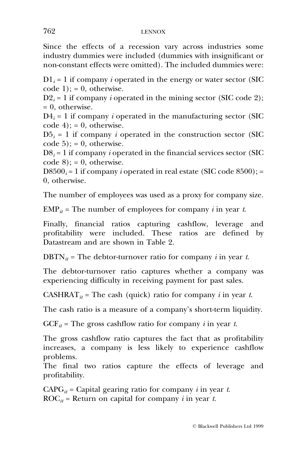Since the effects of a recession vary across industries some industry dummies were included (dummies with insignificant or non-constant effects were omitted). The included dummies were:

 $D_1 = 1$  if company *i* operated in the energy or water sector (SIC  $code 1$ : = 0, otherwise.

 $D2_i = 1$  if company *i* operated in the mining sector (SIC code 2);  $= 0$ , otherwise.

 $D4_i = 1$  if company *i* operated in the manufacturing sector (SIC  $code 4$ ; = 0, otherwise.

 $D5_i = 1$  if company *i* operated in the construction sector (SIC  $code 5$ ; = 0, otherwise.

 $DS_i = 1$  if company *i* operated in the financial services sector (SIC)  $code 8$ ; = 0, otherwise.

D8500<sub>i</sub> = 1 if company *i* operated in real estate (SIC code 8500); = 0, otherwise.

The number of employees was used as a proxy for company size.

 $EMP_{it}$  = The number of employees for company *i* in year *t*.

Finally, financial ratios capturing cashflow, leverage and profitability were included. These ratios are defined by Datastream and are shown in Table 2.

 $DBTN_{it}$  = The debtor-turnover ratio for company *i* in year *t*.

The debtor-turnover ratio captures whether a company was experiencing difficulty in receiving payment for past sales.

CASHRAT<sub>it</sub> = The cash (quick) ratio for company *i* in year *t*.

The cash ratio is a measure of a company's short-term liquidity.

 $GCF_{it}$  = The gross cashflow ratio for company *i* in year *t*.

The gross cashflow ratio captures the fact that as profitability increases, a company is less likely to experience cashflow problems.

The final two ratios capture the effects of leverage and profitability.

 $CAPG_{it}$  = Capital gearing ratio for company *i* in year *t*.  $\text{ROC}_{it}$  = Return on capital for company *i* in year *t*.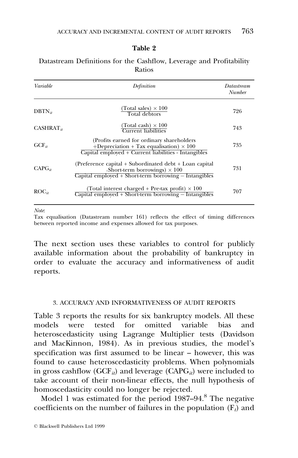| Variable          | Definition                                                                                                                                                 | Datastream<br>Number |
|-------------------|------------------------------------------------------------------------------------------------------------------------------------------------------------|----------------------|
| $DBTN_{it}$       | (Total sales) $\times$ 100<br>Total debtors                                                                                                                | 726                  |
| $CASHRAT_{it}$    | (Total cash) $\times\,100$<br>Current liabilities                                                                                                          | 743                  |
| $GCF_{it}$        | (Profits earned for ordinary shareholders)<br>+Depreciation + Tax equalisation) $\times$ 100<br>Capital employed + Current liabilities - Intangibles       | 735                  |
| $CAPG_{ii}$       | (Preference capital + Subordinated debt + Loan capital<br>$+$ Short-term borrowings) $\times$ 100<br>Capital employed + Short-term borrowing – Intangibles | 731                  |
| $\text{ROC}_{it}$ | (Total interest charged + Pre-tax profit) $\times$ 100<br>$Capital$ employed + Short-term borrowing $-$ Intangibles                                        | 707                  |

# Table 2

Datastream Definitions for the Cashflow, Leverage and Profitability Ratios

Note:

Tax equalisation (Datastream number 161) reflects the effect of timing differences between reported income and expenses allowed for tax purposes.

The next section uses these variables to control for publicly available information about the probability of bankruptcy in order to evaluate the accuracy and informativeness of audit reports.

# 3. ACCURACY AND INFORMATIVENESS OF AUDIT REPORTS

Table 3 reports the results for six bankruptcy models. All these models were tested for omitted variable bias and heteroscedasticity using Lagrange Multiplier tests (Davidson and MacKinnon, 1984). As in previous studies, the model's specification was first assumed to be linear - however, this was found to cause heteroscedasticity problems. When polynomials in gross cashflow (GCF<sub>it</sub>) and leverage (CAPG<sub>it</sub>) were included to take account of their non-linear effects, the null hypothesis of homoscedasticity could no longer be rejected.

Model 1 was estimated for the period  $1987-94$ .<sup>8</sup> The negative coefficients on the number of failures in the population  $(F_t)$  and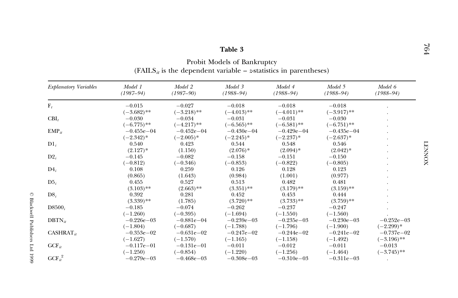# Table 3

 $\label{eq:prob} \mbox{Problem Models of Bankruptcy} \\ \mbox{(FAILS_{it} is the dependent variable --z-statistics in parentheses)}$ 

| <b>Explanatory Variables</b> | Model 1<br>$(1987 - 94)$ | Model 2<br>$(1987 - 90)$ | Model 3<br>$(1988 - 94)$ | Model 4<br>$(1988 - 94)$ | Model 5<br>$(1988 - 94)$ | Model 6<br>$(1988 - 94)$ |
|------------------------------|--------------------------|--------------------------|--------------------------|--------------------------|--------------------------|--------------------------|
| $F_t$                        | $-0.015$                 | $-0.027$                 | $-0.018$                 | $-0.018$                 | $-0.018$                 |                          |
|                              | $(-3.682)$ **            | $(-3.218)$ **            | $(-4.013)$ **            | $(-4.011)$ **            | $(-3.917)$ **            |                          |
| $CBI_t$                      | $-0.030$                 | $-0.034$                 | $-0.031$                 | $-0.031$                 | $-0.030$                 |                          |
|                              | $(-6.775)$ **            | $(-4.217)$ **            | $(-6.565)$ **            | $(-6.581)$ **            | $(-6.751)$ **            |                          |
| $EMP_{it}$                   | $-0.455e - 04$           | $-0.452e-04$             | $-0.430e - 04$           | $-0.429e - 04$           | $-0.435e-04$             |                          |
|                              | $(-2.342)^*$             | $(-2.005)^*$             | $(-2.245)^*$             | $(-2.237)*$              | $(-2.637)^*$             |                          |
| $\text{D1}_i$                | 0.540                    | 0.423                    | 0.544                    | 0.548                    | 0.546                    |                          |
|                              | $(2.127)*$               | (1.150)                  | $(2.076)*$               | $(2.094)*$               | $(2.042)*$               |                          |
| $D2_i$                       | $-0.145$                 | $-0.082$                 | $-0.158$                 | $-0.151$                 | $-0.150$                 |                          |
|                              | $(-0.812)$               | $(-0.346)$               | $(-0.853)$               | $(-0.822)$               | $(-0.805)$               |                          |
| $D4_i$                       | 0.108                    | 0.259                    | 0.126                    | 0.128                    | 0.123                    |                          |
|                              | (0.865)                  | (1.643)                  | (0.984)                  | (1.001)                  | (0.977)                  |                          |
| $D5_i$                       | 0.455                    | 0.527                    | 0.513                    | 0.482                    | 0.481                    |                          |
|                              | $(3.103)$ **             | $(2.663)$ **             | $(3.351)$ **             | $(3.179)$ **             | $(3.159)$ **             |                          |
| $DS_i$                       | 0.392                    | 0.281                    | 0.452                    | 0.453                    | 0.444                    |                          |
|                              | $(3.339)$ **             | (1.785)                  | $(3.720)$ **             | $(3.733)$ **             | $(3.759)$ **             |                          |
| $D8500_i$                    | $-0.185$                 | $-0.074$                 | $-0.262$                 | $-0.237$                 | $-0.247$                 |                          |
|                              | $(-1.260)$               | $(-0.395)$               | $(-1.694)$               | $(-1.550)$               | $(-1.560)$               |                          |
| $DBTN_{it}$                  | $-0.226e - 03$           | $-0.881e-04$             | $-0.239e - 03$           | $-0.235e - 03$           | $-0.230e - 03$           | $-0.252e - 03$           |
|                              | $(-1.804)$               | $(-0.687)$               | $(-1.788)$               | $(-1.796)$               | $(-1.900)$               | $(-2.299)*$              |
| $CASHRAT_{it}$               | $-0.353e-02$             | $-0.631e-02$             | $-0.247e - 02$           | $-0.244e - 02$           | $-0.241e-02$             | $-0.737e - 02$           |
|                              | $(-1.627)$               | $(-1.570)$               | $(-1.165)$               | $(-1.158)$               | $(-1.492)$               | $(-3.196)$ **            |
| $GCF_{it}$                   | $-0.117e-01$             | $-0.131e-01$             | $-0.011$                 | $-0.012$                 | $-0.011$                 | $-0.013$                 |
|                              | $(-1.250)$               | $(-0.854)$               | $(-1.220)$               | $(-1.256)$               | $(-1.464)$               | $(-3.745)$ **            |
| $GCF_{it}^2$                 | $-0.279e - 03$           | $-0.468e - 03$           | $-0.308e - 03$           | $-0.310e - 03$           | $-0.311e-03$             |                          |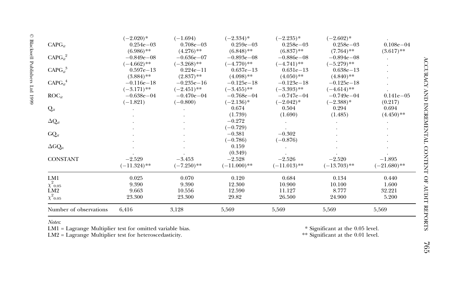|                                 | $(-2.020)*$    | $(-1.694)$     | $(-2.334)*$    | $(-2.235)^*$   | $(-2.602)^*$   |                |
|---------------------------------|----------------|----------------|----------------|----------------|----------------|----------------|
| $CAPG_{it}$                     | $0.254e - 03$  | $0.708e - 03$  | $0.259e - 03$  | $0.258e - 03$  | $0.258e - 03$  | $0.108e - 04$  |
|                                 | $(6.986)$ **   | $(4.276)$ **   | $(6.848)$ **   | $(6.837)$ **   | $(7.764)$ **   | $(3.617)$ **   |
| $CAPG_{it}^2$                   | $-0.849e - 08$ | $-0.636e - 07$ | $-0.893e - 08$ | $-0.886e - 08$ | $-0.894e - 08$ |                |
|                                 | $(-4.662)$ **  | $(-3.268)$ **  | $(-4.770)$ **  | $(-4.741)$ **  | $(-5.279)$ **  |                |
| CAPG <sub>it</sub> <sup>3</sup> | $0.597e - 13$  | $0.224e - 11$  | $0.637e - 13$  | $0.631e-13$    | $0.638e - 13$  |                |
|                                 | $(3.884)$ **   | $(2.837)$ **   | $(4.098)$ **   | $(4.050)$ **   | $(4.840)$ **   |                |
| $CAPG_{it}^{4}$                 | $-0.116e-18$   | $-0.235e-16$   | $-0.125e-18$   | $-0.123e-18$   | $-0.125e - 18$ |                |
|                                 | $(-3.171)$ **  | $(-2.451)$ **  | $(-3.455)$ **  | $(-3.393)$ **  | $(-4.614)$ **  |                |
| $\text{ROC}_{it}$               | $-0.638e - 04$ | $-0.470e{-04}$ | $-0.768e - 04$ | $-0.747e - 04$ | $-0.749e - 04$ | $0.141e - 05$  |
|                                 | $(-1.821)$     | $(-0.800)$     | $(-2.136)^*$   | $(-2.042)^*$   | $(-2.388)$ *   | (0.217)        |
| $\mathrm{Q}_{it}$               |                |                | 0.674          | 0.504          | 0.294          | 0.694          |
|                                 |                |                | (1.739)        | (1.690)        | (1.485)        | $(4.450)$ **   |
| $\Delta Q_{it}$                 |                |                | $-0.272$       |                |                |                |
|                                 |                |                | $(-0.729)$     |                |                |                |
| $GQ_{it}$                       |                |                | $-0.381$       | $-0.302$       |                |                |
|                                 |                |                | $(-0.786)$     | $(-0.876)$     |                |                |
| $\Delta G Q_{it}$               |                |                | 0.159          |                |                |                |
|                                 |                |                | (0.349)        |                |                |                |
| <b>CONSTANT</b>                 | $-2.529$       | $-3.453$       | $-2.528$       | $-2.526$       | $-2.520$       | $-1.895$       |
|                                 | $(-11.324)$ ** | $(-7.250)$ **  | $(-11.000)$ ** | $(-11.013)$ ** | $(-13.703)$ ** | $(-21.680)$ ** |
| LM1                             | 0.025          | 0.070          | 0.120          | 0.684          | 0.134          | 0.440          |
| $\chi^2{}_{0.05}$               | 9.390          | 9.390          | 12.300         | 10.900         | 10.100         | 1.600          |
| LM <sub>2</sub>                 | 9.663          | 10.556         | 12.590         | 11.127         | 8.777          | 32.221         |
| $\chi^2$ <sub>0.05</sub>        | 23.300         | 23.300         | 29.82          | 26.500         | 24.900         | 5.200          |
| Number of observations          | 6,416          | 3,128          | 5,569          | 5,569          | 5,569          | 5,569          |

 $\odot$  Blackwell Publishers Ltd 1999

Notes:

LM1 = Lagrange Multiplier test for omitted variable bias.<br>LM2 = Lagrange Multiplier test for heteroscedasticity.

 $^{\ast}$  Significant at the 0.05 level.  $^{**}$  Significant at the 0.01 level.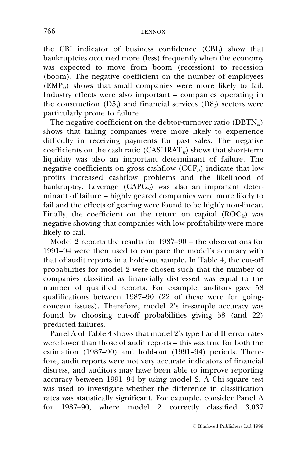the CBI indicator of business confidence  $(CBI_t)$  show that bankruptcies occurred more (less) frequently when the economy was expected to move from boom (recession) to recession (boom). The negative coefficient on the number of employees  $(\text{EMP}_{it})$  shows that small companies were more likely to fail. Industry effects were also important – companies operating in the construction  $(D5_i)$  and financial services  $(D8_i)$  sectors were particularly prone to failure.

The negative coefficient on the debtor-turnover ratio ( $DBTN_{it}$ ) shows that failing companies were more likely to experience difficulty in receiving payments for past sales. The negative coefficients on the cash ratio (CASHRAT<sub>it</sub>) shows that short-term liquidity was also an important determinant of failure. The negative coefficients on gross cashflow (GCF<sub>it</sub>) indicate that low profits increased cashflow problems and the likelihood of bankruptcy. Leverage  $(CAPG_i)$  was also an important determinant of failure  $-\overline{\text{high}}$  geared companies were more likely to fail and the effects of gearing were found to be highly non-linear. Finally, the coefficient on the return on capital  $(ROC_{it})$  was negative showing that companies with low profitability were more likely to fail.

Model 2 reports the results for  $1987-90$  – the observations for 1991-94 were then used to compare the model's accuracy with that of audit reports in a hold-out sample. In Table 4, the cut-off probabilities for model 2 were chosen such that the number of companies classified as financially distressed was equal to the number of qualified reports. For example, auditors gave 58 qualifications between  $1987-90$  (22 of these were for goingconcern issues). Therefore, model 2's in-sample accuracy was found by choosing cut-off probabilities giving 58 (and 22) predicted failures.

Panel A of Table 4 shows that model 2's type I and II error rates were lower than those of audit reports  $-\overrightarrow{\text{this}}$  was true for both the estimation (1987-90) and hold-out (1991-94) periods. Therefore, audit reports were not very accurate indicators of financial distress, and auditors may have been able to improve reporting accuracy between  $1991-94$  by using model 2. A Chi-square test was used to investigate whether the difference in classification rates was statistically significant. For example, consider Panel A for 1987-90, where model 2 correctly classified 3,037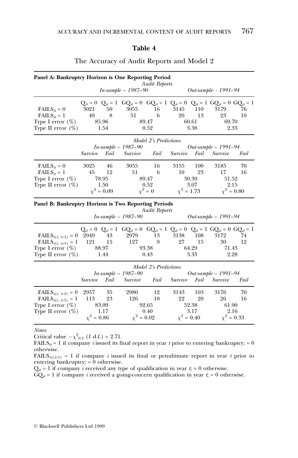## Table 4

| Panel A: Bankruptcy Horizon is One Reporting Period                                                                                  |                                                                 |                                              |                                                                                                                            | <b>Audit Reports</b>                  |                                 |                            |                                     |                                     |  |
|--------------------------------------------------------------------------------------------------------------------------------------|-----------------------------------------------------------------|----------------------------------------------|----------------------------------------------------------------------------------------------------------------------------|---------------------------------------|---------------------------------|----------------------------|-------------------------------------|-------------------------------------|--|
|                                                                                                                                      | $In-sample - 1987 - 90$                                         |                                              |                                                                                                                            |                                       |                                 |                            | Out-sample- - 1991-94               |                                     |  |
| $\text{FAILS}_{it} = 0$<br>$\text{FAILS}_{it} = 1$<br>Type I error $(\%)$<br>Type II error $(\%)$                                    | 3021<br>49                                                      | 50<br>8<br>85.96<br>1.54                     | $Q_{it} = 0$ $Q_{it} = 1$ $GQ_{it} = 0$ $GQ_{it} = 1$ $Q_{it} = 0$ $Q_{it} = 1$ $GQ_{it} = 0$ $GQ_{it} = 1$<br>3055<br>51  | 16<br>6<br>89.47<br>0.52              | 3145<br>20                      | 110<br>13<br>60.61<br>3.38 | 3179<br>23<br>69.70<br>2.33         | 76<br>10                            |  |
|                                                                                                                                      |                                                                 |                                              |                                                                                                                            | Model 2's Predictions                 |                                 |                            |                                     |                                     |  |
|                                                                                                                                      | Survive                                                         | Fail                                         | $In-sample-1987-90$<br>Survive                                                                                             | Fail                                  | Survive                         | Fail                       | Out-sample $- 1991 - 94$<br>Survive | Fail                                |  |
| $\text{FAILS}_{it} = 0$<br>$\text{FAILS}_{it} = 1$<br>Type I error $(\%)$<br>Type II error $(\%)$                                    | 3025<br>45                                                      | 46<br>12<br>78.95<br>1.50<br>$\chi^2 = 0.09$ | 3055<br>51                                                                                                                 | 16<br>6<br>89.47<br>0.52<br>$x^2 = 0$ | 3155<br>10<br>$x^2 = 1.73$      | 100<br>23<br>30.30<br>3.07 | 3185<br>17<br>51.52<br>2.15         | 70<br>16<br>$x^2 = 0.80$            |  |
| Panel B: Bankruptcy Horizon is Two Reporting Periods                                                                                 |                                                                 |                                              | $In-sample-1987-90$                                                                                                        | <b>Audit Reports</b>                  |                                 |                            | Out-sample $- 1991 - 94$            |                                     |  |
| $\text{FAILS}_{i(t, t+1)} = 0$<br>$\text{FAILS}_{i(t, t+1)} = 1$<br>Type I error $(\%)$<br>Type II error $(\%)$                      | 2949<br>121                                                     | 43<br>15<br>88.97<br>1.44                    | $Q_{it} = 0$ $Q_{it} = 1$ $GQ_{it} = 0$ $GQ_{it} = 1$ $Q_{it} = 0$ $Q_{it} = 1$ $GQ_{it} = 0$ $GQ_{it} = 1$<br>2979<br>127 | 13<br>9<br>93.38<br>0.43              | 3138<br>27                      | 108<br>15<br>64.29<br>3.33 | 3172<br>30<br>71.43                 | 74<br>12<br>2.28                    |  |
|                                                                                                                                      | Model 2's Predictions<br>$In-sample-1987-90$<br>Survive<br>Fail |                                              | Survive<br>Fail                                                                                                            |                                       | Out-sample - 1991-94<br>Survive | Fail                       |                                     |                                     |  |
| FAILS <sub><i>i</i>(<i>t</i>, <i>t</i>+1)</sub> = 0<br>$\text{FAILS}_{i(t, t+1)} = 1$<br>Type I error $(\%)$<br>Type II error $(\%)$ | 2957<br>113<br>$\chi^2 = 0.86$                                  | 35<br>23<br>83.09<br>-1.17                   | 2980<br>126<br>$\chi^2 = 0.02$                                                                                             | 12<br>10<br>92.65<br>0.40             | 3143<br>22<br>$\chi^2 = 0.40$   | 103<br>20<br>52.38<br>3.17 | 3176<br>26<br>61.90                 | 70<br>16<br>2.16<br>$\chi^2 = 0.33$ |  |

# The Accuracy of Audit Reports and Model 2

Notes:

Critical value  $-\chi^2_{0.1}$  (1 d.f.) = 2.71.

FAILS<sub>it</sub> = 1 if company *i* issued its final report in year *t* prior to entering bankruptcy; = 0 otherwise.

FAILS<sub>i(t,t+1)</sub> = 1 if company *i* issued its final or penultimate report in year t prior to entering bankruptcy;  $= 0$  otherwise.

 $Q_{it} = 1$  if company *i* received any type of qualification in year  $t_i = 0$  otherwise.

 $\overrightarrow{GQ}_{it} = 1$  if company *i* received a going-concern qualification in year  $t_i = 0$  otherwise.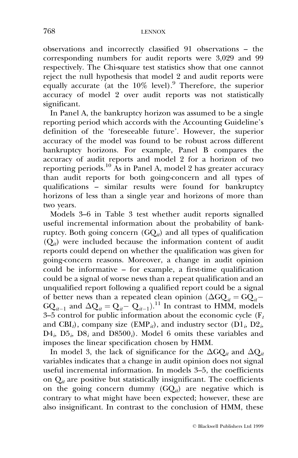$observations$  and incorrectly classified 91 observations  $-$  the corresponding numbers for audit reports were 3,029 and 99 respectively. The Chi-square test statistics show that one cannot reject the null hypothesis that model 2 and audit reports were equally accurate (at the  $10\%$  level).<sup>9</sup> Therefore, the superior accuracy of model 2 over audit reports was not statistically significant.

In Panel A, the bankruptcy horizon was assumed to be a single reporting period which accords with the Accounting Guideline's definition of the `foreseeable future'. However, the superior accuracy of the model was found to be robust across different bankruptcy horizons. For example, Panel B compares the accuracy of audit reports and model 2 for a horizon of two reporting periods.<sup>10</sup> As in Panel A, model 2 has greater accuracy than audit reports for both going-concern and all types of qualifications - similar results were found for bankruptcy horizons of less than a single year and horizons of more than two years.

Models 3-6 in Table 3 test whether audit reports signalled useful incremental information about the probability of bankruptcy. Both going concern  $(GQ_{it})$  and all types of qualification  $(Q_{it})$  were included because the information content of audit reports could depend on whether the qualification was given for going-concern reasons. Moreover, a change in audit opinion could be informative - for example, a first-time qualification could be a signal of worse news than a repeat qualification and an unqualified report following a qualified report could be a signal of better news than a repeated clean opinion  $(\Delta GQ_{it} = GQ_{it} GQ_{it-1}$  and  $\Delta Q_{it} = Q_{it-1} - Q_{it-1}$ .<sup>11</sup> In contrast to HMM, models 3-5 control for public information about the economic cycle ( $F_t$ ) and CBI<sub>t</sub>), company size (EMP<sub>it</sub>), and industry sector (D1<sub>i</sub>, D2<sub>i</sub>,  $D4_i$ ,  $D5_i$ ,  $D8_i$  and  $D8500_i$ ). Model 6 omits these variables and imposes the linear specification chosen by HMM.

In model 3, the lack of significance for the  $\Delta GQ_{it}$  and  $\Delta Q_{it}$ variables indicates that a change in audit opinion does not signal useful incremental information. In models 3–5, the coefficients on  $Q_{it}$  are positive but statistically insignificant. The coefficients on the going concern dummy  $(GQ_{it})$  are negative which is contrary to what might have been expected; however, these are also insignificant. In contrast to the conclusion of HMM, these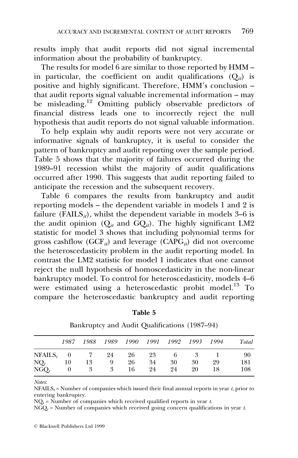results imply that audit reports did not signal incremental information about the probability of bankruptcy.

The results for model  $\overline{6}$  are similar to those reported by HMM  $$ in particular, the coefficient on audit qualifications  $(O_{ii})$  is positive and highly significant. Therefore, HMM's conclusion - $\frac{1}{1}$  that audit reports signal valuable incremental information – may be misleading.<sup>12</sup> Omitting publicly observable predictors of financial distress leads one to incorrectly reject the null hypothesis that audit reports do not signal valuable information.

To help explain why audit reports were not very accurate or informative signals of bankruptcy, it is useful to consider the pattern of bankruptcy and audit reporting over the sample period. Table 5 shows that the majority of failures occurred during the 1989-91 recession whilst the majority of audit qualifications occurred after 1990. This suggests that audit reporting failed to anticipate the recession and the subsequent recovery.

Table 6 compares the results from bankruptcy and audit reporting models  $-$  the dependent variable in models 1 and 2 is failure (FAILS<sub>it</sub>), whilst the dependent variable in models 3–6 is the audit opinion  $(Q_{it}$  and  $\tilde{GQ}_{it})$ . The highly significant LM2 statistic for model 3 shows that including polynomial terms for gross cashflow (GCF<sub>it</sub>) and leverage (CAPG<sub>it</sub>) did not overcome the heteroscedasticity problem in the audit reporting model. In contrast the LM2 statistic for model 1 indicates that one cannot reject the null hypothesis of homoscedasticity in the non-linear bankruptcy model. To control for heteroscedasticity, models 4-6 were estimated using a heteroscedastic probit model.<sup>13</sup> To compare the heteroscedastic bankruptcy and audit reporting

|            | 1987           | 1988 | 1989 | 1990 | 1991 | 1992 | 1993 | 1994 | Total |
|------------|----------------|------|------|------|------|------|------|------|-------|
| $NFAILS_t$ | $\overline{0}$ |      | 24   | 26   | 23   | 6    | 3    |      | 90    |
| $NQ_t$     | 10             | 13   | 9    | 26   | 34   | 30   | 30   | 29   | 181   |
| $NGO_t$    |                | 3    | 3    | 16   | 24   | 24   | 20   | 18   | 108   |

Table 5

Bankruptcy and Audit Qualifications (1987-94)

Notes:

 $NFAILS_t = Number of companies which issued their final annual reports in year *t*, prior to$ entering bankruptcy.

 $NQ_t$  = Number of companies which received qualified reports in year t.

 $NGQ_t$  = Number of companies which received going concern qualifications in year t.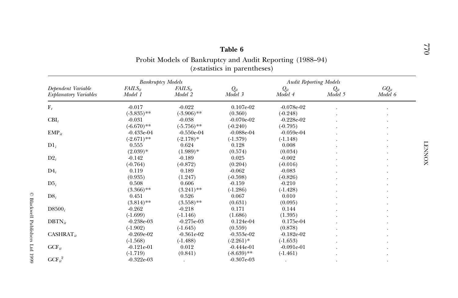| Probit Models of Bankruptcy and Audit Reporting (1988–94)<br>( <i>z</i> -statistics in parentheses) |                               |                              |                               |                               |                     |                      |  |  |
|-----------------------------------------------------------------------------------------------------|-------------------------------|------------------------------|-------------------------------|-------------------------------|---------------------|----------------------|--|--|
|                                                                                                     | <b>Bankruptcy Models</b>      |                              |                               | <b>Audit Reporting Models</b> |                     |                      |  |  |
| Dependent Variable<br><b>Explanatory Variables</b>                                                  | $FAILS_{it}$<br>Model 1       | $FAILS_{it}$<br>Model 2      | $Q_{it}$<br>Model 3           | $Q_{it}$<br>Model 4           | $Q_{it}$<br>Model 5 | $GQ_{it}$<br>Model 6 |  |  |
| $F_t$                                                                                               | $-0.017$<br>$(-3.835)$ **     | $-0.022$<br>$(-3.906)$ **    | $0.107e-02$<br>(0.360)        | $-0.078e-02$<br>$(-0.248)$    |                     |                      |  |  |
| $CBI_t$                                                                                             | $-0.031$<br>$(-6.670)$ **     | $-0.038$<br>$(-5.756)$ **    | $-0.070e-02$<br>$(-0.240)$    | $-0.228e-02$<br>$(-0.795)$    |                     |                      |  |  |
| $EMP_{it}$                                                                                          | $-0.433e-04$<br>$(-2.671)$ ** | $-0.550e-04$<br>$(-2.178)$ * | $-0.088e-04$<br>$(-1.379)$    | $-0.059e-04$<br>$(-1.148)$    |                     |                      |  |  |
| $DI_i$                                                                                              | 0.555<br>$(2.039)*$           | 0.624<br>$(1.989)*$          | 0.128<br>(0.574)              | 0.008<br>(0.034)              |                     |                      |  |  |
| $D2_i$                                                                                              | $-0.142$<br>$(-0.764)$        | $-0.189$<br>$(-0.872)$       | 0.025<br>(0.204)              | $-0.002$<br>$(-0.016)$        |                     |                      |  |  |
| $D4_i$                                                                                              | 0.119<br>(0.935)              | 0.189<br>(1.247)             | $-0.062$<br>$(-0.598)$        | $-0.083$<br>$(-0.826)$        |                     |                      |  |  |
| $D5_i$                                                                                              | 0.508<br>$(3.366)$ **         | 0.606<br>$(3.241)$ **        | $-0.159$<br>$(-1.286)$        | $-0.210$<br>$(-1.428)$        |                     |                      |  |  |
| $D8_i$                                                                                              | 0.451<br>$(3.814)$ **         | 0.526<br>$(3.558)$ **        | 0.067<br>(0.631)              | 0.010<br>(0.095)              |                     |                      |  |  |
| $D8500_i$                                                                                           | $-0.262$<br>$(-1.699)$        | $-0.218$<br>$(-1.146)$       | 0.171<br>(1.686)              | 0.144<br>(1.395)              |                     |                      |  |  |
| $DBTN_{it}$                                                                                         | $-0.238e-03$<br>$(-1.902)$    | $-0.275e-03$<br>$(-1.645)$   | $0.124e-04$<br>(0.559)        | 0.175e-04<br>(0.878)          |                     |                      |  |  |
| $CASHRAT_{it}$                                                                                      | $-0.269e-02$<br>$(-1.568)$    | $-0.361e-02$<br>$(-1.488)$   | $-0.353e-02$<br>$(-2.261)$ *  | $-0.182e-02$<br>$(-1.653)$    |                     |                      |  |  |
| $GCF_{it}$                                                                                          | $-0.121e-01$<br>$(-1.719)$    | 0.012<br>(0.841)             | $-0.444e-01$<br>$(-8.639)$ ** | $-0.091e-01$<br>$(-1.461)$    |                     |                      |  |  |
| $GCF_{it}^2$                                                                                        | $-0.322e-03$                  |                              | $-0.307e-03$                  |                               |                     |                      |  |  |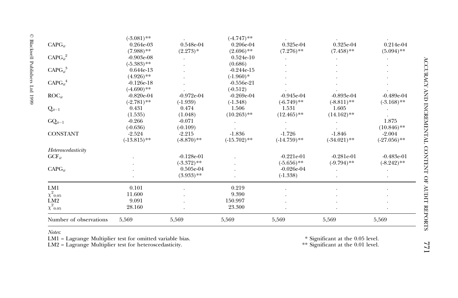|                        | $(-3.081)$ **  |               | $(-4.747)$ **  |                |                |                |
|------------------------|----------------|---------------|----------------|----------------|----------------|----------------|
| $CAPG_{it}$            | $0.264e-03$    | 0.548e-04     | 0.206e-04      | 0.325e-04      | 0.325e-04      | $0.214e-04$    |
|                        | $(7.988)$ **   | $(2.273)*$    | $(2.696)$ **   | $(7.276)$ **   | $(7.458)$ **   | $(5.094)$ **   |
| $CAPG_{it}^2$          | $-0.903e-08$   |               | $0.524e-10$    |                |                |                |
|                        | $(-5.383)$ **  |               | (0.686)        |                |                |                |
| $CAPG_{it}^3$          | $0.644e-13$    |               | $-0.244e-15$   |                |                |                |
|                        | $(4.926)$ **   |               | $(-1.960)*$    |                |                |                |
| $CAPG_{it}^{4}$        | $-0.126e-18$   |               | $-0.556e-21$   |                |                |                |
|                        | $(-4.690)$ **  |               | $(-0.512)$     |                |                |                |
| $\text{ROC}_{it}$      | $-0.820e-04$   | $-0.972e-04$  | $-0.269e-04$   | $-0.945e-04$   | $-0.893e-04$   | $-0.489e-04$   |
|                        | $(-2.781)$ **  | $(-1.939)$    | $(-1.348)$     | $(-6.749)$ **  | $(-8.811)$ **  | $(-3.168)$ **  |
| $Q_{it-1}$             | 0.431          | 0.474         | 1.506          | 1.531          | 1.605          |                |
|                        | (1.535)        | (1.048)       | $(10.263)$ **  | $(12.465)$ **  | $(14.162)$ **  |                |
| $GQ_{it-1}$            | $-0.266$       | $-0.071$      |                |                |                | 1.875          |
|                        | $(-0.636)$     | $(-0.109)$    |                |                |                | $(10.846)$ **  |
| <b>CONSTANT</b>        | $-2.524$       | $-2.215$      | $-1.836$       | $-1.726$       | $-1.846$       | $-2.004$       |
|                        | $(-13.815)$ ** | $(-8.870)$ ** | $(-15.702)$ ** | $(-14.759)$ ** | $(-34.021)$ ** | $(-27.056)$ ** |
| Heteroscedasticity     |                |               |                |                |                |                |
| $GCF_{it}$             |                | $-0.128e-01$  |                | $-0.221e-01$   | $-0.281e-01$   | $-0.483e-01$   |
|                        |                | $(-3.372)$ ** |                | $(-5.656)$ **  | $(-9.794)$ **  | $(-8.242)$ **  |
| $CAPG_{it}$            |                | 0.505e-04     |                | $-0.026e-04$   |                |                |
|                        |                | $(3.933)$ **  |                | $(-1.338)$     |                |                |
| LM1                    | 0.101          |               | 0.219          |                |                |                |
| $\chi^2_{\ 0.05}$      | 11.600         |               | 9.390          |                |                |                |
| LM2                    | 9.091          |               | 150.997        |                |                |                |
| $\chi^2{}_{0.05}$      | 28.160         |               | 23.300         |                |                |                |
| Number of observations | 5,569          | 5,569         | 5,569          | 5,569          | 5,569          | 5,569          |

Notes:

LM1 = Lagrange Multiplier test for omitted variable bias.<br>LM2 = Lagrange Multiplier test for heteroscedasticity.

 $^\ast$  Significant at the 0.05 level.  $^{\ast\ast}$  Significant at the 0.01 level.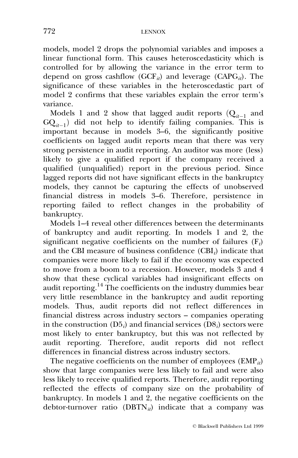models, model 2 drops the polynomial variables and imposes a linear functional form. This causes heteroscedasticity which is controlled for by allowing the variance in the error term to depend on gross cashflow (GCF<sub>it</sub>) and leverage (CAPG<sub>it</sub>). The significance of these variables in the heteroscedastic part of model 2 confirms that these variables explain the error term's variance.

Models 1 and 2 show that lagged audit reports  $(Q_{it-1}$  and  $GQ_{it-1}$ ) did not help to identify failing companies. This is important because in models  $3-6$ , the significantly positive coefficients on lagged audit reports mean that there was very strong persistence in audit reporting. An auditor was more (less) likely to give a qualified report if the company received a qualified (unqualified) report in the previous period. Since lagged reports did not have significant effects in the bankruptcy models, they cannot be capturing the effects of unobserved financial distress in models 3–6. Therefore, persistence in reporting failed to reflect changes in the probability of bankruptcy.

Models 1–4 reveal other differences between the determinants of bankruptcy and audit reporting. In models 1 and 2, the significant negative coefficients on the number of failures  $(F_t)$ and the CBI measure of business confidence  $(CBI_t)$  indicate that companies were more likely to fail if the economy was expected to move from a boom to a recession. However, models 3 and 4 show that these cyclical variables had insignificant effects on audit reporting.<sup>14</sup> The coefficients on the industry dummies bear very little resemblance in the bankruptcy and audit reporting models. Thus, audit reports did not reflect differences in financial distress across industry sectors - companies operating in the construction  $(D5_i)$  and financial services  $(D8_i)$  sectors were most likely to enter bankruptcy, but this was not reflected by audit reporting. Therefore, audit reports did not reflect differences in financial distress across industry sectors.

The negative coefficients on the number of employees  $\text{(EMP)}_{ii}$ show that large companies were less likely to fail and were also less likely to receive qualified reports. Therefore, audit reporting reflected the effects of company size on the probability of bankruptcy. In models 1 and 2, the negative coefficients on the debtor-turnover ratio (DBTN<sub>it</sub>) indicate that a company was

ß Blackwell Publishers Ltd 1999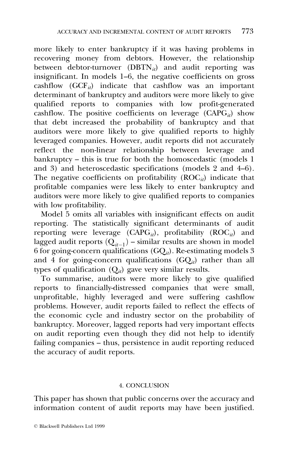more likely to enter bankruptcy if it was having problems in recovering money from debtors. However, the relationship between debtor-turnover (DBTN<sub>it</sub>) and audit reporting was insignificant. In models 1–6, the negative coefficients on gross cashflow  $(GCF_{ii})$  indicate that cashflow was an important determinant of bankruptcy and auditors were more likely to give qualified reports to companies with low profit-generated cashflow. The positive coefficients on leverage  $(CAP\ddot{G}_{it})$  show that debt increased the probability of bankruptcy and that auditors were more likely to give qualified reports to highly leveraged companies. However, audit reports did not accurately reflect the non-linear relationship between leverage and bankruptcy  $-$  this is true for both the homoscedastic (models 1 and  $3)$  and heteroscedastic specifications (models 2 and  $4-6$ ). The negative coefficients on profitability  $(ROC_{it})$  indicate that profitable companies were less likely to enter bankruptcy and auditors were more likely to give qualified reports to companies with low profitability.

Model 5 omits all variables with insignificant effects on audit reporting. The statistically significant determinants of audit reporting were leverage  $(CAPG_i)$ , profitability  $(ROC_i)$  and lagged audit reports  $(Q_{it-1})$  – similar results are shown in model 6 for going-concern qualifications  $(GQ_{it})$ . Re-estimating models 3 and 4 for going-concern qualifications  $(GQ_{ii})$  rather than all types of qualification  $(Q_{it})$  gave very similar results.

To summarise, auditors were more likely to give qualified reports to financially-distressed companies that were small, unprofitable, highly leveraged and were suffering cashflow problems. However, audit reports failed to reflect the effects of the economic cycle and industry sector on the probability of bankruptcy. Moreover, lagged reports had very important effects on audit reporting even though they did not help to identify failing companies - thus, persistence in audit reporting reduced the accuracy of audit reports.

#### 4. CONCLUSION

This paper has shown that public concerns over the accuracy and information content of audit reports may have been justified.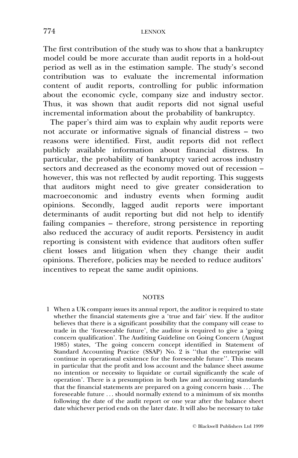The first contribution of the study was to show that a bankruptcy model could be more accurate than audit reports in a hold-out period as well as in the estimation sample. The study's second contribution was to evaluate the incremental information content of audit reports, controlling for public information about the economic cycle, company size and industry sector. Thus, it was shown that audit reports did not signal useful incremental information about the probability of bankruptcy.

The paper's third aim was to explain why audit reports were not accurate or informative signals of financial distress - two reasons were identified. First, audit reports did not reflect publicly available information about financial distress. In particular, the probability of bankruptcy varied across industry  $\frac{1}{\sqrt{1-\frac{1}{\sqrt{1-\frac{1}{\sqrt{1-\frac{1}{\sqrt{1-\frac{1}{\sqrt{1-\frac{1}{\sqrt{1-\frac{1}{\sqrt{1-\frac{1}{\sqrt{1-\frac{1}{\sqrt{1-\frac{1}{\sqrt{1-\frac{1}{\sqrt{1-\frac{1}{\sqrt{1-\frac{1}{\sqrt{1-\frac{1}{\sqrt{1-\frac{1}{\sqrt{1-\frac{1}{\sqrt{1-\frac{1}{\sqrt{1-\frac{1}{\sqrt{1-\frac{1}{\sqrt{1-\frac{1}{\sqrt{1-\frac{1}{\sqrt{1-\frac{1}{\sqrt{1-\frac{1}{\sqrt{1-\frac{1}{\sqrt{1-\frac{1$ however, this was not reflected by audit reporting. This suggests that auditors might need to give greater consideration to macroeconomic and industry events when forming audit opinions. Secondly, lagged audit reports were important determinants of audit reporting but did not help to identify failing companies – therefore, strong persistence in reporting also reduced the accuracy of audit reports. Persistency in audit reporting is consistent with evidence that auditors often suffer client losses and litigation when they change their audit opinions. Therefore, policies may be needed to reduce auditors' incentives to repeat the same audit opinions.

#### **NOTES**

1 When a UK company issues its annual report, the auditor is required to state whether the financial statements give a 'true and fair' view. If the auditor believes that there is a significant possibility that the company will cease to trade in the 'foreseeable future', the auditor is required to give a 'going concern qualification'. The Auditing Guideline on Going Concern (August 1985) states, 'The going concern concept identified in Statement of Standard Accounting Practice (SSAP) No. 2 is "that the enterprise will continue in operational existence for the foreseeable future''. This means in particular that the profit and loss account and the balance sheet assume no intention or necessity to liquidate or curtail significantly the scale of operation'. There is a presumption in both law and accounting standards that the financial statements are prepared on a going concern basis . . . The foreseeable future . . . should normally extend to a minimum of six months following the date of the audit report or one year after the balance sheet date whichever period ends on the later date. It will also be necessary to take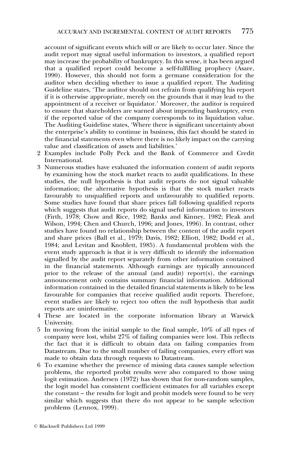account of significant events which will or are likely to occur later. Since the audit report may signal useful information to investors, a qualified report may increase the probability of bankruptcy. In this sense, it has been argued that a qualified report could become a self-fulfilling prophecy (Asare, 1990). However, this should not form a germane consideration for the auditor when deciding whether to issue a qualified report. The Auditing Guideline states, `The auditor should not refrain from qualifying his report if it is otherwise appropriate, merely on the grounds that it may lead to the appointment of a receiver or liquidator.' Moreover, the auditor is required to ensure that shareholders are warned about impending bankruptcy, even if the reported value of the company corresponds to its liquidation value. The Auditing Guideline states, 'Where there is significant uncertainty about the enterprise's ability to continue in business, this fact should be stated in the financial statements even where there is no likely impact on the carrying value and classification of assets and liabilities.'

- 2 Examples include Polly Peck and the Bank of Commerce and Credit International.
- 3 Numerous studies have evaluated the information content of audit reports by examining how the stock market reacts to audit qualifications. In these studies, the null hypothesis is that audit reports do not signal valuable information; the alternative hypothesis is that the stock market reacts favourably to unqualified reports and unfavourably to qualified reports. Some studies have found that share prices fall following qualified reports which suggests that audit reports do signal useful information to investors (Firth, 1978; Chow and Rice, 1982; Banks and Kinney, 1982; Fleak and Wilson, 1994; Chen and Church, 1996; and Jones, 1996). In contrast, other studies have found no relationship between the content of the audit report and share prices (Ball et al., 1979; Davis, 1982; Elliott, 1982; Dodd et al., 1984; and Levitan and Knoblett, 1985). A fundamental problem with the event study approach is that it is very difficult to identify the information signalled by the audit report separately from other information contained in the financial statements. Although earnings are typically announced prior to the release of the annual (and audit) report $(s)$ , the earnings announcement only contains summary financial information. Additional information contained in the detailed financial statements is likely to be less favourable for companies that receive qualified audit reports. Therefore, event studies are likely to reject too often the null hypothesis that audit reports are uninformative.
- 4 These are located in the corporate information library at Warwick University.
- 5 In moving from the initial sample to the final sample, 10% of all types of company were lost, whilst 27% of failing companies were lost. This reflects the fact that it is difficult to obtain data on failing companies from Datastream. Due to the small number of failing companies, every effort was made to obtain data through requests to Datastream.
- 6 To examine whether the presence of missing data causes sample selection problems, the reported probit results were also compared to those using logit estimation. Andersen (1972) has shown that for non-random samples, the logit model has consistent coefficient estimates for all variables except the constant – the results for logit and probit models were found to be very similar which suggests that there do not appear to be sample selection problems (Lennox, 1999).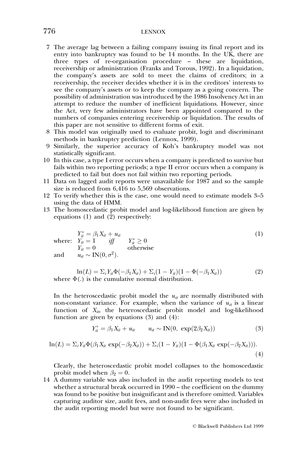## 776 LENNOX

- 7 The average lag between a failing company issuing its final report and its entry into bankruptcy was found to be  $14$  months. In the UK, there are three types of re-organisation procedure - these are liquidation, receivership or administration (Franks and Torous, 1992). In a liquidation, the company's assets are sold to meet the claims of creditors; in a receivership, the receiver decides whether it is in the creditors' interests to see the company's assets or to keep the company as a going concern. The possibility of administration was introduced by the 1986 Insolvency Act in an attempt to reduce the number of inefficient liquidations. However, since the Act, very few administrators have been appointed compared to the numbers of companies entering receivership or liquidation. The results of this paper are not sensitive to different forms of exit.
- 8 This model was originally used to evaluate probit, logit and discriminant methods in bankruptcy prediction (Lennox, 1999).
- 9 Similarly, the superior accuracy of Koh's bankruptcy model was not statistically significant.
- 10 In this case, a type I error occurs when a company is predicted to survive but fails within two reporting periods; a type II error occurs when a company is predicted to fail but does not fail within two reporting periods.
- 11 Data on lagged audit reports were unavailable for 1987 and so the sample size is reduced from 6,416 to 5,569 observations.
- 12 To verify whether this is the case, one would need to estimate models 3-5 using the data of HMM.
- 13 The homoscedastic probit model and log-likelihood function are given by equations (1) and  $(\hat{2})$  respectively:

where: 
$$
Y_{it}^{*} = \beta_1 X_{it} + u_{it}
$$

$$
Y_{it} = 1 \quad \text{iff} \qquad Y_{it}^{*} \ge 0
$$

$$
Y_{it} = 0 \qquad \text{otherwise}
$$
and 
$$
u_{it} \sim \text{IN}(0, \sigma^2).
$$
 (1)

 $\ln(L) = \sum_i Y_{it} \Phi(-\beta_1 X_{it}) + \sum_i (1 - Y_{it}) (1 - \Phi(-\beta_1 X_{it}))$  (2) where  $\Phi(.)$  is the cumulative normal distribution.

In the heteroscedastic probit model the  $u_{it}$  are normally distributed with non-constant variance. For example, when the variance of  $u_{it}$  is a linear function of  $X_{it}$ , the heteroscedastic probit model and log-likelihood function are given by equations (3) and (4):

$$
Y_{it}^* = \beta_1 X_{it} + u_{it} \qquad u_{it} \sim \text{IN}(0, \exp(2\beta_2 X_{it})) \tag{3}
$$

$$
\ln(L) = \sum_i Y_{ii} \Phi(\beta_1 X_{ii} \exp(-\beta_2 X_{ii})) + \sum_i (1 - Y_{ii})(1 - \Phi(\beta_1 X_{ii} \exp(-\beta_2 X_{ii}))).
$$
\n(4)

Clearly, the heteroscedastic probit model collapses to the homoscedastic probit model when  $\beta_2 = 0$ .

14 A dummy variable was also included in the audit reporting models to test whether a structural break occurred in 1990 - the coefficient on the dummy was found to be positive but insignificant and is therefore omitted. Variables capturing auditor size, audit fees, and non-audit fees were also included in the audit reporting model but were not found to be significant.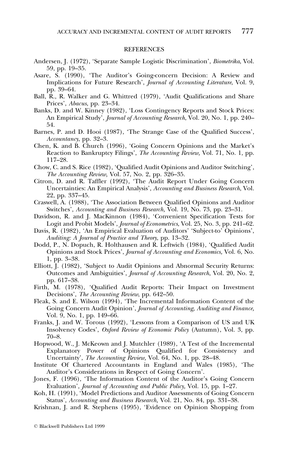#### **REFERENCES**

- Andersen, J. (1972), 'Separate Sample Logistic Discrimination', Biometrika, Vol. 59, pp. 19-35.
- Asare, S. (1990), `The Auditor's Going-concern Decision: A Review and Implications for Future Research', Journal of Accounting Literature, Vol. 9, pp. 39-64.
- Ball, R., R. Walker and G. Whittred (1979), 'Audit Qualifications and Share Prices', Abacus, pp. 23-34.
- Banks, D. and W. Kinney (1982), `Loss Contingency Reports and Stock Prices: An Empirical Study', *Journal of Accounting Research*, Vol. 20, No. 1, pp. 240– 54.
- Barnes, P. and D. Hooi (1987), 'The Strange Case of the Qualified Success', Accountancy, pp. 32-3.
- Chen, K. and B. Church (1996), `Going Concern Opinions and the Market's Reaction to Bankruptcy Filings', The Accounting Review, Vol. 71, No. 1, pp. 117±28.
- Chow, C. and S. Rice (1982), `Qualified Audit Opinions and Auditor Switching', The Accounting Review, Vol. 57, No. 2, pp. 326-35.
- Citron, D. and R. Taffler (1992), `The Audit Report Under Going Concern Uncertainties: An Empirical Analysis', Accounting and Business Research, Vol. 22, pp. 337-45.
- Craswell, A. (1988), `The Association Between Qualified Opinions and Auditor Switches', Accounting and Business Research, Vol. 19, No. 73, pp. 23-31.
- Davidson, R. and J. MacKinnon (1984), `Convenient Specification Tests for Logit and Probit Models', *Journal of Econometrics*, Vol. 25, No. 3, pp. 241–62.
- Davis, R. (1982), 'An Empirical Evaluation of Auditors' 'Subject-to' Opinions', Auditing: A Journal of Practice and Theory, pp. 13-32.
- Dodd, P., N. Dopuch, R. Holthausen and R. Leftwich (1984), `Qualified Audit Opinions and Stock Prices', Journal of Accounting and Economics, Vol. 6, No. 1, pp. 3±38.
- Elliott, J. (1982), 'Subject to Audit Opinions and Abnormal Security Returns: Outcomes and Ambiguities', Journal of Accounting Research, Vol. 20, No. 2, pp. 617-38.
- Firth, M. (1978), 'Qualified Audit Reports: Their Impact on Investment Decisions', The Accounting Review, pp. 642–50.
- Fleak, S. and E. Wilson (1994), `The Incremental Information Content of the Going Concern Audit Opinion', Journal of Accounting, Auditing and Finance, Vol. 9, No. 1, pp. 149–66.
- Franks, J. and W. Torous (1992), `Lessons from a Comparison of US and UK Insolvency Codes', Oxford Review of Economic Policy (Autumn), Vol. 3, pp.  $70 - 8.$
- Hopwood, W., J. McKeown and J. Mutchler (1989), `A Test of the Incremental Explanatory Power of Opinions Qualified for Consistency and Uncertainty', The Accounting Review, Vol. 64, No. 1, pp. 28-48.
- Institute Of Chartered Accountants in England and Wales (1985), `The Auditor's Considerations in Respect of Going Concern'.
- Jones, F. (1996), 'The Information Content of the Auditor's Going Concern Evaluation', *Journal of Accounting and Public Policy*, Vol. 15, pp. 1–27.
- Koh, H. (1991), `Model Predictions and Auditor Assessments of Going Concern Status', Accounting and Business Research, Vol. 21, No. 84, pp. 331-38.
- Krishnan, J. and R. Stephens (1995), `Evidence on Opinion Shopping from